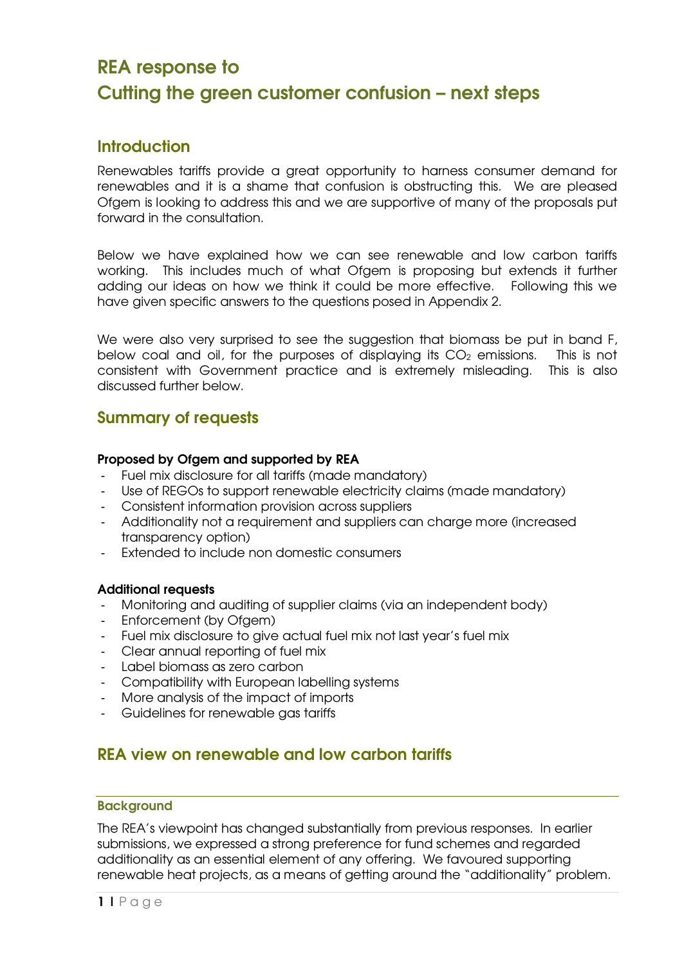# REA response to Cutting the green customer confusion – next steps

# Introduction

Renewables tariffs provide a great opportunity to harness consumer demand for renewables and it is a shame that confusion is obstructing this. We are pleased Ofgem is looking to address this and we are supportive of many of the proposals put forward in the consultation.

Below we have explained how we can see renewable and low carbon tariffs working. This includes much of what Ofgem is proposing but extends it further adding our ideas on how we think it could be more effective. Following this we have given specific answers to the questions posed in Appendix 2.

We were also very surprised to see the suggestion that biomass be put in band F, below coal and oil, for the purposes of displaying its  $CO<sub>2</sub>$  emissions. This is not consistent with Government practice and is extremely misleading. This is also discussed further below.

# Summary of requests

### Proposed by Ofgem and supported by REA

- Fuel mix disclosure for all tariffs (made mandatory)
- Use of REGOs to support renewable electricity claims (made mandatory)
- Consistent information provision across suppliers
- Additionality not a requirement and suppliers can charge more (increased transparency option)
- Extended to include non domestic consumers

# Additional requests

- Monitoring and auditing of supplier claims (via an independent body)
- Enforcement (by Ofgem)
- Fuel mix disclosure to give actual fuel mix not last year's fuel mix
- Clear annual reporting of fuel mix
- Label biomass as zero carbon
- Compatibility with European labelling systems
- More analysis of the impact of imports
- Guidelines for renewable gas tariffs

# REA view on renewable and low carbon tariffs

#### **Backaround**

The REA's viewpoint has changed substantially from previous responses. In earlier submissions, we expressed a strong preference for fund schemes and regarded additionality as an essential element of any offering. We favoured supporting renewable heat projects, as a means of getting around the "additionality" problem.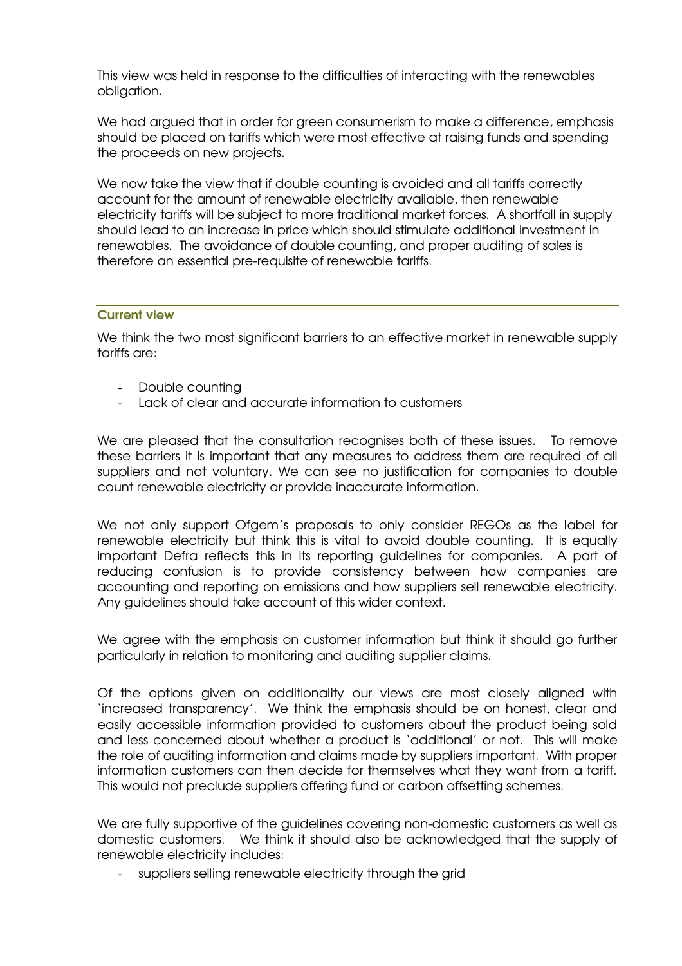This view was held in response to the difficulties of interacting with the renewables obligation.

We had argued that in order for green consumerism to make a difference, emphasis should be placed on tariffs which were most effective at raising funds and spending the proceeds on new projects.

We now take the view that if double counting is avoided and all tariffs correctly account for the amount of renewable electricity available, then renewable electricity tariffs will be subject to more traditional market forces. A shortfall in supply should lead to an increase in price which should stimulate additional investment in renewables. The avoidance of double counting, and proper auditing of sales is therefore an essential pre-requisite of renewable tariffs.

#### Current view

We think the two most significant barriers to an effective market in renewable supply tariffs are:

- Double counting
- Lack of clear and accurate information to customers

We are pleased that the consultation recognises both of these issues. To remove these barriers it is important that any measures to address them are required of all suppliers and not voluntary. We can see no justification for companies to double count renewable electricity or provide inaccurate information.

We not only support Ofgem's proposals to only consider REGOs as the label for renewable electricity but think this is vital to avoid double counting. It is equally important Defra reflects this in its reporting guidelines for companies. A part of reducing confusion is to provide consistency between how companies are accounting and reporting on emissions and how suppliers sell renewable electricity. Any guidelines should take account of this wider context.

We agree with the emphasis on customer information but think it should go further particularly in relation to monitoring and auditing supplier claims.

Of the options given on additionality our views are most closely aligned with 'increased transparency'. We think the emphasis should be on honest, clear and easily accessible information provided to customers about the product being sold and less concerned about whether a product is 'additional' or not. This will make the role of auditing information and claims made by suppliers important. With proper information customers can then decide for themselves what they want from a tariff. This would not preclude suppliers offering fund or carbon offsetting schemes.

We are fully supportive of the guidelines covering non-domestic customers as well as domestic customers. We think it should also be acknowledged that the supply of renewable electricity includes:

suppliers selling renewable electricity through the grid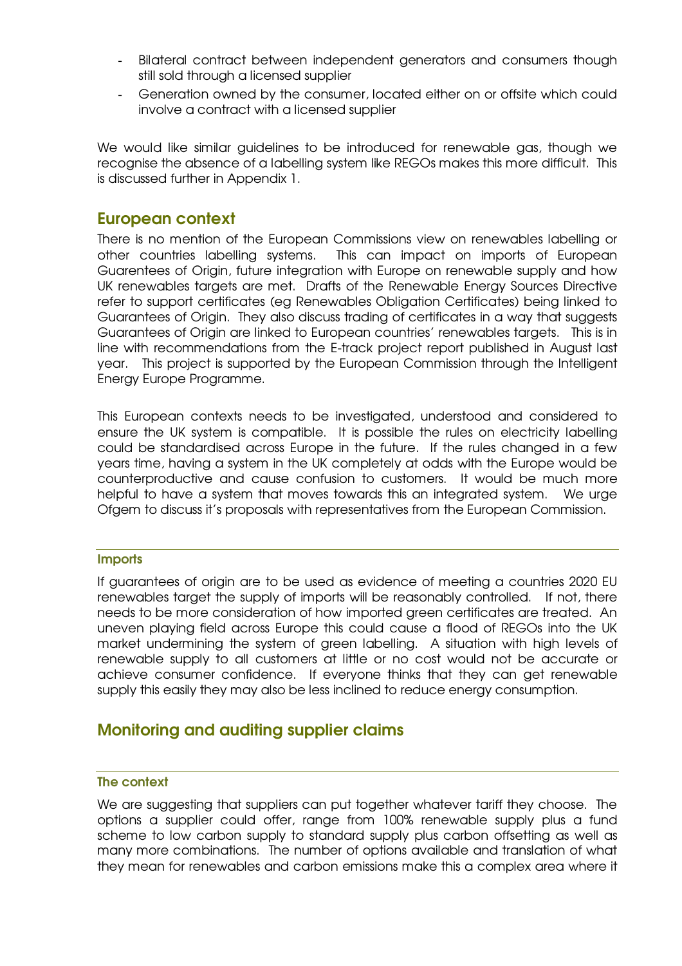- Bilateral contract between independent generators and consumers though still sold through a licensed supplier
- Generation owned by the consumer, located either on or offsite which could involve a contract with a licensed supplier

We would like similar guidelines to be introduced for renewable gas, though we recognise the absence of a labelling system like REGOs makes this more difficult. This is discussed further in Appendix 1.

# European context

There is no mention of the European Commissions view on renewables labelling or other countries labelling systems. This can impact on imports of European Guarentees of Origin, future integration with Europe on renewable supply and how UK renewables targets are met. Drafts of the Renewable Energy Sources Directive refer to support certificates (eg Renewables Obligation Certificates) being linked to Guarantees of Origin. They also discuss trading of certificates in a way that suggests Guarantees of Origin are linked to European countries' renewables targets. This is in line with recommendations from the E-track project report published in August last year. This project is supported by the European Commission through the Intelligent Energy Europe Programme.

This European contexts needs to be investigated, understood and considered to ensure the UK system is compatible. It is possible the rules on electricity labelling could be standardised across Europe in the future. If the rules changed in a few years time, having a system in the UK completely at odds with the Europe would be counterproductive and cause confusion to customers. It would be much more helpful to have a system that moves towards this an integrated system. We urge Ofgem to discuss it's proposals with representatives from the European Commission.

#### **Imports**

If guarantees of origin are to be used as evidence of meeting a countries 2020 EU renewables target the supply of imports will be reasonably controlled. If not, there needs to be more consideration of how imported green certificates are treated. An uneven playing field across Europe this could cause a flood of REGOs into the UK market undermining the system of green labelling. A situation with high levels of renewable supply to all customers at little or no cost would not be accurate or achieve consumer confidence. If everyone thinks that they can get renewable supply this easily they may also be less inclined to reduce energy consumption.

# Monitoring and auditing supplier claims

#### The context

We are suggesting that suppliers can put together whatever tariff they choose. The options a supplier could offer, range from 100% renewable supply plus a fund scheme to low carbon supply to standard supply plus carbon offsetting as well as many more combinations. The number of options available and translation of what they mean for renewables and carbon emissions make this a complex area where it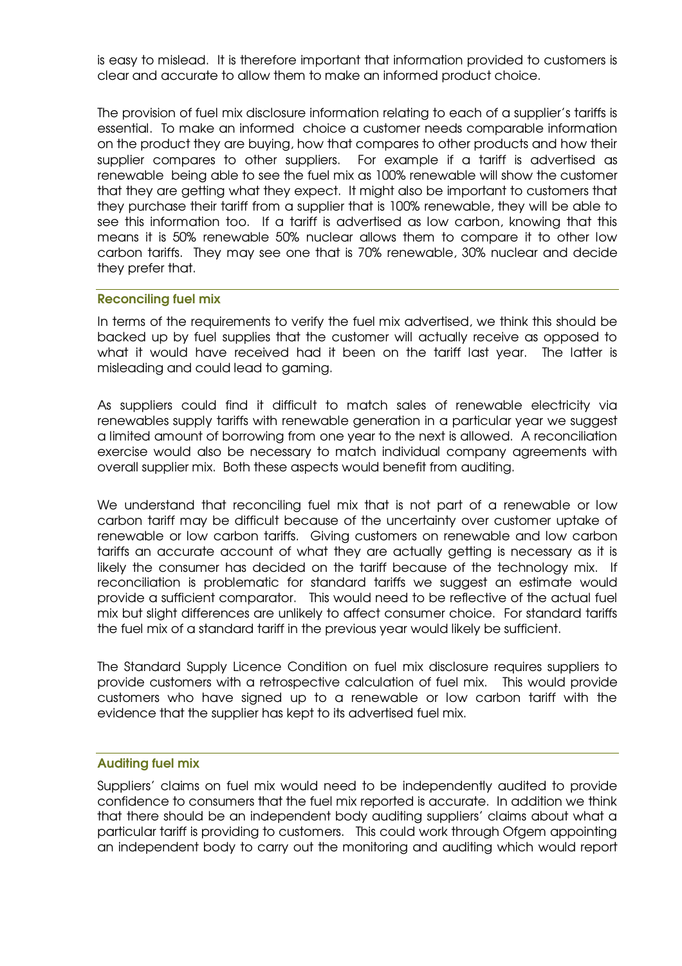is easy to mislead. It is therefore important that information provided to customers is clear and accurate to allow them to make an informed product choice.

The provision of fuel mix disclosure information relating to each of a supplier's tariffs is essential. To make an informed choice a customer needs comparable information on the product they are buying, how that compares to other products and how their supplier compares to other suppliers. For example if a tariff is advertised as renewable being able to see the fuel mix as 100% renewable will show the customer that they are getting what they expect. It might also be important to customers that they purchase their tariff from a supplier that is 100% renewable, they will be able to see this information too. If a tariff is advertised as low carbon, knowing that this means it is 50% renewable 50% nuclear allows them to compare it to other low carbon tariffs. They may see one that is 70% renewable, 30% nuclear and decide they prefer that.

#### Reconciling fuel mix

In terms of the requirements to verify the fuel mix advertised, we think this should be backed up by fuel supplies that the customer will actually receive as opposed to what it would have received had it been on the tariff last year. The latter is misleading and could lead to gaming.

As suppliers could find it difficult to match sales of renewable electricity via renewables supply tariffs with renewable generation in a particular year we suggest a limited amount of borrowing from one year to the next is allowed. A reconciliation exercise would also be necessary to match individual company agreements with overall supplier mix. Both these aspects would benefit from auditing.

We understand that reconciling fuel mix that is not part of a renewable or low carbon tariff may be difficult because of the uncertainty over customer uptake of renewable or low carbon tariffs. Giving customers on renewable and low carbon tariffs an accurate account of what they are actually getting is necessary as it is likely the consumer has decided on the tariff because of the technology mix. If reconciliation is problematic for standard tariffs we suggest an estimate would provide a sufficient comparator. This would need to be reflective of the actual fuel mix but slight differences are unlikely to affect consumer choice. For standard tariffs the fuel mix of a standard tariff in the previous year would likely be sufficient.

The Standard Supply Licence Condition on fuel mix disclosure requires suppliers to provide customers with a retrospective calculation of fuel mix. This would provide customers who have signed up to a renewable or low carbon tariff with the evidence that the supplier has kept to its advertised fuel mix.

#### Auditing fuel mix

Suppliers' claims on fuel mix would need to be independently audited to provide confidence to consumers that the fuel mix reported is accurate. In addition we think that there should be an independent body auditing suppliers' claims about what a particular tariff is providing to customers. This could work through Ofgem appointing an independent body to carry out the monitoring and auditing which would report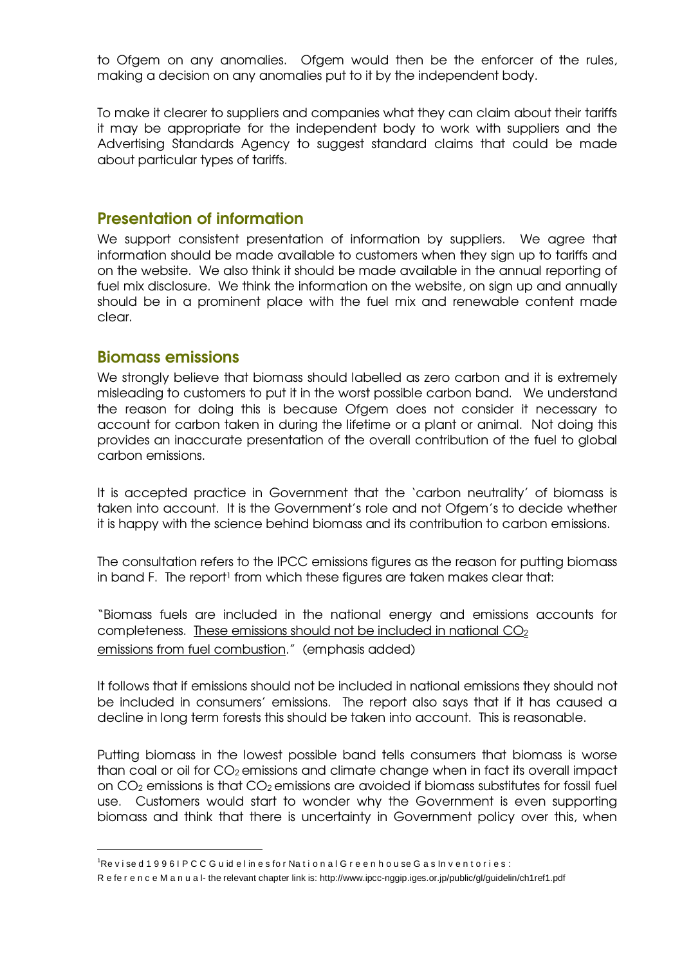to Ofgem on any anomalies. Ofgem would then be the enforcer of the rules, making a decision on any anomalies put to it by the independent body.

To make it clearer to suppliers and companies what they can claim about their tariffs it may be appropriate for the independent body to work with suppliers and the Advertising Standards Agency to suggest standard claims that could be made about particular types of tariffs.

# Presentation of information

We support consistent presentation of information by suppliers. We agree that information should be made available to customers when they sign up to tariffs and on the website. We also think it should be made available in the annual reporting of fuel mix disclosure. We think the information on the website, on sign up and annually should be in a prominent place with the fuel mix and renewable content made clear.

# Biomass emissions

 $\overline{a}$ 

We strongly believe that biomass should labelled as zero carbon and it is extremely misleading to customers to put it in the worst possible carbon band. We understand the reason for doing this is because Ofgem does not consider it necessary to account for carbon taken in during the lifetime or a plant or animal. Not doing this provides an inaccurate presentation of the overall contribution of the fuel to global carbon emissions.

It is accepted practice in Government that the 'carbon neutrality' of biomass is taken into account. It is the Government's role and not Ofgem's to decide whether it is happy with the science behind biomass and its contribution to carbon emissions.

The consultation refers to the IPCC emissions figures as the reason for putting biomass in band F. The report1 from which these figures are taken makes clear that:

"Biomass fuels are included in the national energy and emissions accounts for completeness. These emissions should not be included in national CO<sub>2</sub> emissions from fuel combustion." (emphasis added)

It follows that if emissions should not be included in national emissions they should not be included in consumers' emissions. The report also says that if it has caused a decline in long term forests this should be taken into account. This is reasonable.

Putting biomass in the lowest possible band tells consumers that biomass is worse than coal or oil for CO2 emissions and climate change when in fact its overall impact on CO2 emissions is that CO2 emissions are avoided if biomass substitutes for fossil fuel use. Customers would start to wonder why the Government is even supporting biomass and think that there is uncertainty in Government policy over this, when

 $1$ Re v i se d 1 9 9 6 I P C C G u id e l in e s for National G r e e n h o u se G a s In v e n t o r i e s :

R e fe r e n c e M a n u a l- the relevant chapter link is: http://www.ipcc-nggip.iges.or.jp/public/gl/guidelin/ch1ref1.pdf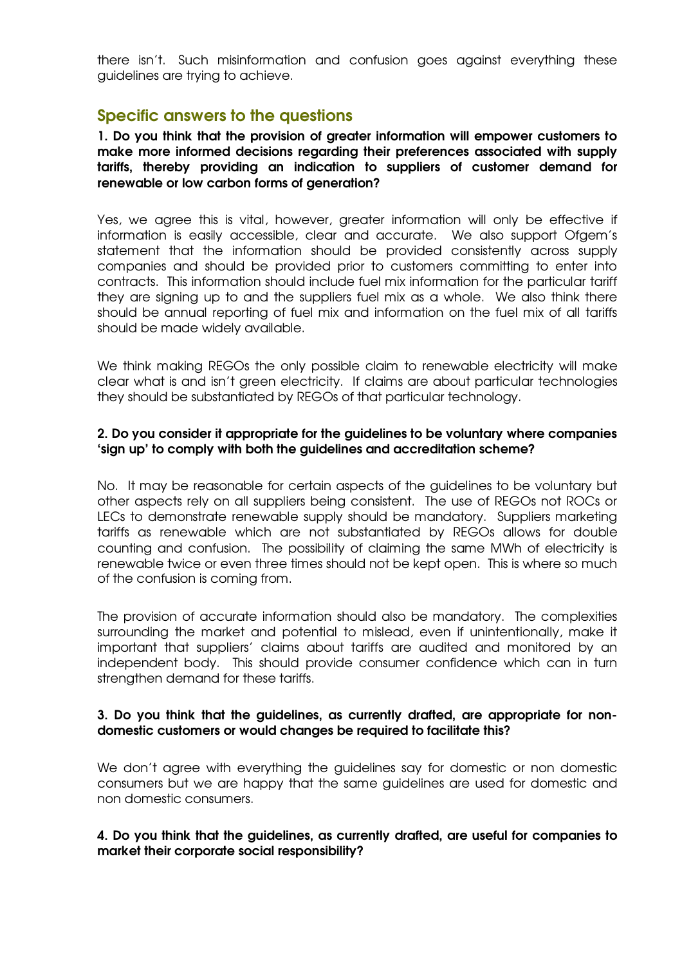there isn't. Such misinformation and confusion goes against everything these guidelines are trying to achieve.

# Specific answers to the questions

1. Do you think that the provision of greater information will empower customers to make more informed decisions regarding their preferences associated with supply tariffs, thereby providing an indication to suppliers of customer demand for renewable or low carbon forms of generation?

Yes, we agree this is vital, however, greater information will only be effective if information is easily accessible, clear and accurate. We also support Ofgem's statement that the information should be provided consistently across supply companies and should be provided prior to customers committing to enter into contracts. This information should include fuel mix information for the particular tariff they are signing up to and the suppliers fuel mix as a whole. We also think there should be annual reporting of fuel mix and information on the fuel mix of all tariffs should be made widely available.

We think making REGOs the only possible claim to renewable electricity will make clear what is and isn't green electricity. If claims are about particular technologies they should be substantiated by REGOs of that particular technology.

### 2. Do you consider it appropriate for the guidelines to be voluntary where companies 'sign up' to comply with both the guidelines and accreditation scheme?

No. It may be reasonable for certain aspects of the guidelines to be voluntary but other aspects rely on all suppliers being consistent. The use of REGOs not ROCs or LECs to demonstrate renewable supply should be mandatory. Suppliers marketing tariffs as renewable which are not substantiated by REGOs allows for double counting and confusion. The possibility of claiming the same MWh of electricity is renewable twice or even three times should not be kept open. This is where so much of the confusion is coming from.

The provision of accurate information should also be mandatory. The complexities surrounding the market and potential to mislead, even if unintentionally, make it important that suppliers' claims about tariffs are audited and monitored by an independent body. This should provide consumer confidence which can in turn strengthen demand for these tariffs.

#### 3. Do you think that the guidelines, as currently drafted, are appropriate for nondomestic customers or would changes be required to facilitate this?

We don't agree with everything the guidelines say for domestic or non domestic consumers but we are happy that the same guidelines are used for domestic and non domestic consumers.

#### 4. Do you think that the guidelines, as currently drafted, are useful for companies to market their corporate social responsibility?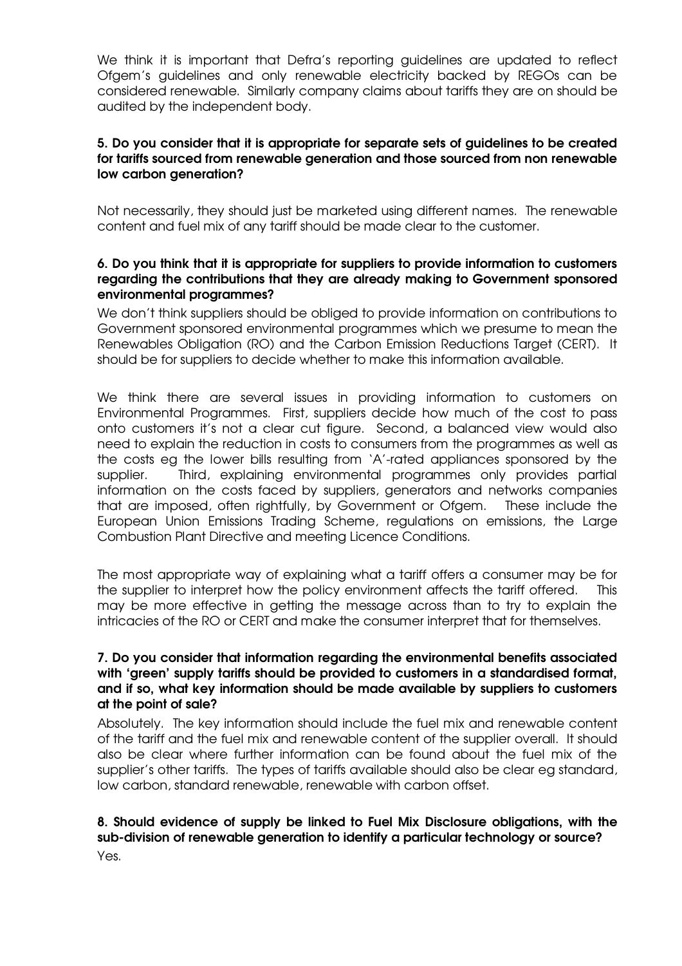We think it is important that Defra's reporting guidelines are updated to reflect Ofgem's guidelines and only renewable electricity backed by REGOs can be considered renewable. Similarly company claims about tariffs they are on should be audited by the independent body.

# 5. Do you consider that it is appropriate for separate sets of guidelines to be created for tariffs sourced from renewable generation and those sourced from non renewable low carbon generation?

Not necessarily, they should just be marketed using different names. The renewable content and fuel mix of any tariff should be made clear to the customer.

### 6. Do you think that it is appropriate for suppliers to provide information to customers regarding the contributions that they are already making to Government sponsored environmental programmes?

We don't think suppliers should be obliged to provide information on contributions to Government sponsored environmental programmes which we presume to mean the Renewables Obligation (RO) and the Carbon Emission Reductions Target (CERT). It should be for suppliers to decide whether to make this information available.

We think there are several issues in providing information to customers on Environmental Programmes. First, suppliers decide how much of the cost to pass onto customers it's not a clear cut figure. Second, a balanced view would also need to explain the reduction in costs to consumers from the programmes as well as the costs eg the lower bills resulting from 'A'-rated appliances sponsored by the supplier. Third, explaining environmental programmes only provides partial information on the costs faced by suppliers, generators and networks companies that are imposed, often rightfully, by Government or Ofgem. These include the European Union Emissions Trading Scheme, regulations on emissions, the Large Combustion Plant Directive and meeting Licence Conditions.

The most appropriate way of explaining what a tariff offers a consumer may be for the supplier to interpret how the policy environment affects the tariff offered. This may be more effective in getting the message across than to try to explain the intricacies of the RO or CERT and make the consumer interpret that for themselves.

### 7. Do you consider that information regarding the environmental benefits associated with 'green' supply tariffs should be provided to customers in a standardised format, and if so, what key information should be made available by suppliers to customers at the point of sale?

Absolutely. The key information should include the fuel mix and renewable content of the tariff and the fuel mix and renewable content of the supplier overall. It should also be clear where further information can be found about the fuel mix of the supplier's other tariffs. The types of tariffs available should also be clear eg standard, low carbon, standard renewable, renewable with carbon offset.

# 8. Should evidence of supply be linked to Fuel Mix Disclosure obligations, with the sub-division of renewable generation to identify a particular technology or source?

Yes.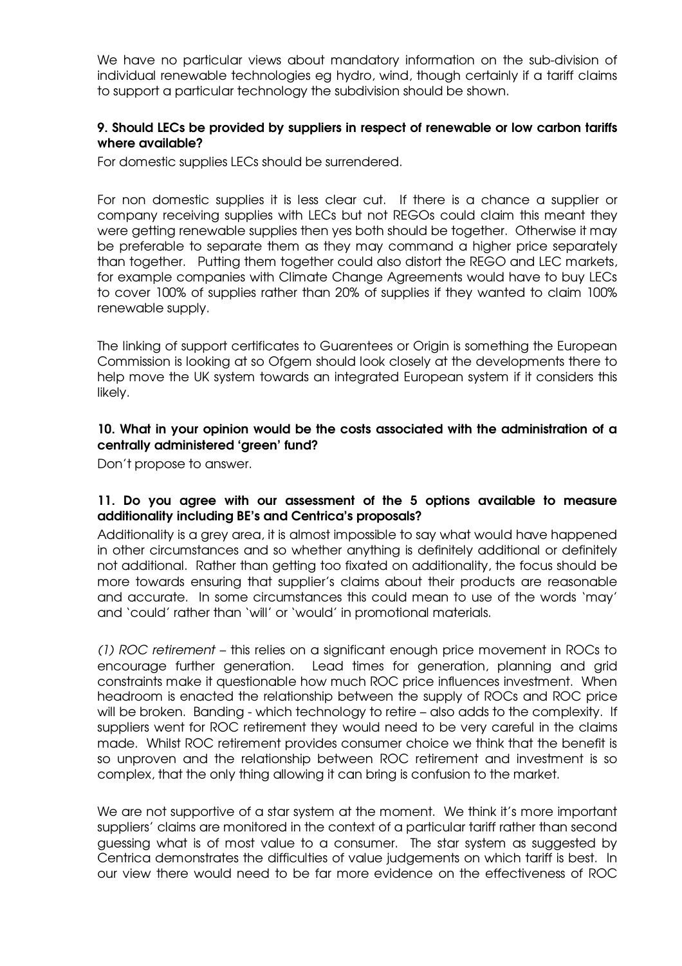We have no particular views about mandatory information on the sub-division of individual renewable technologies eg hydro, wind, though certainly if a tariff claims to support a particular technology the subdivision should be shown.

### 9. Should LECs be provided by suppliers in respect of renewable or low carbon tariffs where available?

For domestic supplies LECs should be surrendered.

For non domestic supplies it is less clear cut. If there is a chance a supplier or company receiving supplies with LECs but not REGOs could claim this meant they were getting renewable supplies then yes both should be together. Otherwise it may be preferable to separate them as they may command a higher price separately than together. Putting them together could also distort the REGO and LEC markets, for example companies with Climate Change Agreements would have to buy LECs to cover 100% of supplies rather than 20% of supplies if they wanted to claim 100% renewable supply.

The linking of support certificates to Guarentees or Origin is something the European Commission is looking at so Ofgem should look closely at the developments there to help move the UK system towards an integrated European system if it considers this likely.

# 10. What in your opinion would be the costs associated with the administration of a centrally administered 'green' fund?

Don't propose to answer.

# 11. Do you agree with our assessment of the 5 options available to measure additionality including BE's and Centrica's proposals?

Additionality is a grey area, it is almost impossible to say what would have happened in other circumstances and so whether anything is definitely additional or definitely not additional. Rather than getting too fixated on additionality, the focus should be more towards ensuring that supplier's claims about their products are reasonable and accurate. In some circumstances this could mean to use of the words 'may' and 'could' rather than 'will' or 'would' in promotional materials.

(1) ROC retirement – this relies on a significant enough price movement in ROCs to encourage further generation. Lead times for generation, planning and grid constraints make it questionable how much ROC price influences investment. When headroom is enacted the relationship between the supply of ROCs and ROC price will be broken. Banding - which technology to retire – also adds to the complexity. If suppliers went for ROC retirement they would need to be very careful in the claims made. Whilst ROC retirement provides consumer choice we think that the benefit is so unproven and the relationship between ROC retirement and investment is so complex, that the only thing allowing it can bring is confusion to the market.

We are not supportive of a star system at the moment. We think it's more important suppliers' claims are monitored in the context of a particular tariff rather than second guessing what is of most value to a consumer. The star system as suggested by Centrica demonstrates the difficulties of value judgements on which tariff is best. In our view there would need to be far more evidence on the effectiveness of ROC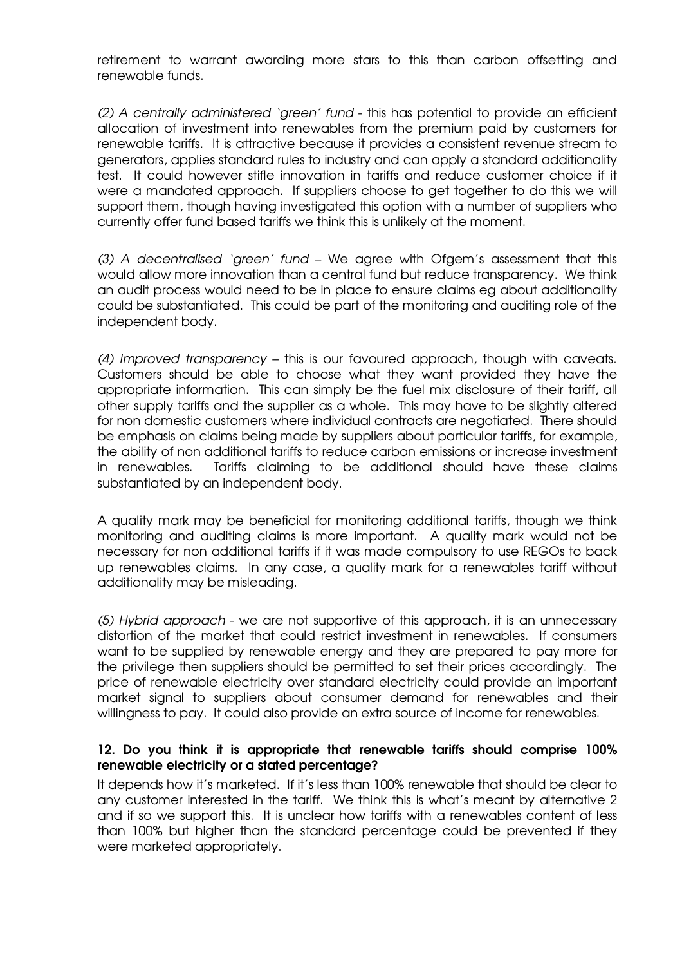retirement to warrant awarding more stars to this than carbon offsetting and renewable funds.

(2) A centrally administered 'green' fund - this has potential to provide an efficient allocation of investment into renewables from the premium paid by customers for renewable tariffs. It is attractive because it provides a consistent revenue stream to generators, applies standard rules to industry and can apply a standard additionality test. It could however stifle innovation in tariffs and reduce customer choice if it were a mandated approach. If suppliers choose to get together to do this we will support them, though having investigated this option with a number of suppliers who currently offer fund based tariffs we think this is unlikely at the moment.

(3) A decentralised 'green' fund – We agree with Ofgem's assessment that this would allow more innovation than a central fund but reduce transparency. We think an audit process would need to be in place to ensure claims eg about additionality could be substantiated. This could be part of the monitoring and auditing role of the independent body.

(4) Improved transparency – this is our favoured approach, though with caveats. Customers should be able to choose what they want provided they have the appropriate information. This can simply be the fuel mix disclosure of their tariff, all other supply tariffs and the supplier as a whole. This may have to be slightly altered for non domestic customers where individual contracts are negotiated. There should be emphasis on claims being made by suppliers about particular tariffs, for example, the ability of non additional tariffs to reduce carbon emissions or increase investment in renewables. Tariffs claiming to be additional should have these claims substantiated by an independent body.

A quality mark may be beneficial for monitoring additional tariffs, though we think monitoring and auditing claims is more important. A quality mark would not be necessary for non additional tariffs if it was made compulsory to use REGOs to back up renewables claims. In any case, a quality mark for a renewables tariff without additionality may be misleading.

(5) Hybrid approach - we are not supportive of this approach, it is an unnecessary distortion of the market that could restrict investment in renewables. If consumers want to be supplied by renewable energy and they are prepared to pay more for the privilege then suppliers should be permitted to set their prices accordingly. The price of renewable electricity over standard electricity could provide an important market signal to suppliers about consumer demand for renewables and their willingness to pay. It could also provide an extra source of income for renewables.

### 12. Do you think it is appropriate that renewable tariffs should comprise 100% renewable electricity or a stated percentage?

It depends how it's marketed. If it's less than 100% renewable that should be clear to any customer interested in the tariff. We think this is what's meant by alternative 2 and if so we support this. It is unclear how tariffs with a renewables content of less than 100% but higher than the standard percentage could be prevented if they were marketed appropriately.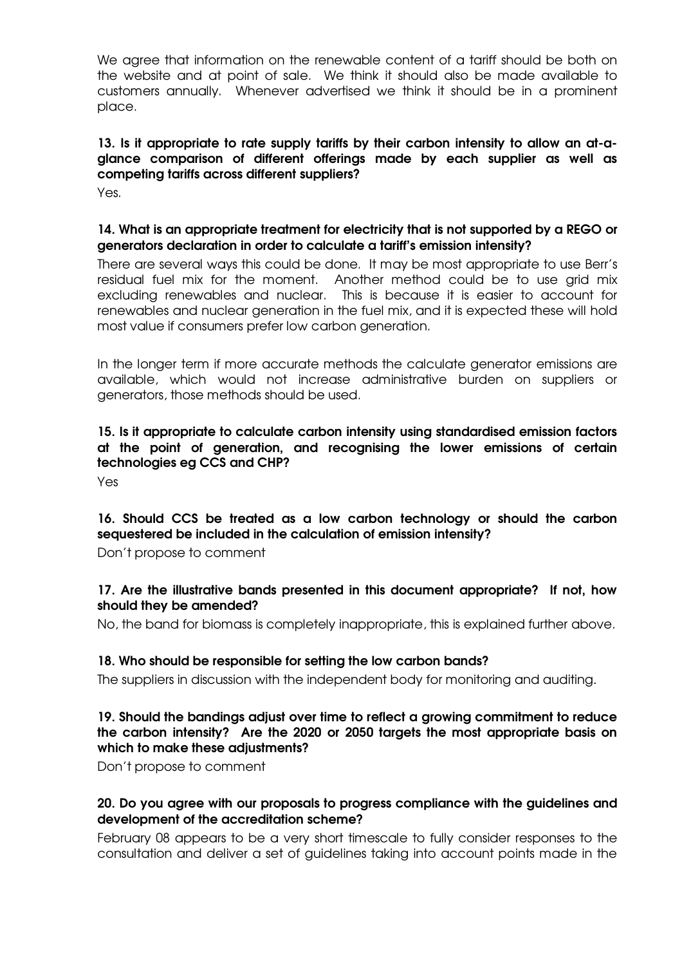We agree that information on the renewable content of a tariff should be both on the website and at point of sale. We think it should also be made available to customers annually. Whenever advertised we think it should be in a prominent place.

# 13. Is it appropriate to rate supply tariffs by their carbon intensity to allow an at-aglance comparison of different offerings made by each supplier as well as competing tariffs across different suppliers?

Yes.

# 14. What is an appropriate treatment for electricity that is not supported by a REGO or generators declaration in order to calculate a tariff's emission intensity?

There are several ways this could be done. It may be most appropriate to use Berr's residual fuel mix for the moment. Another method could be to use grid mix excluding renewables and nuclear. This is because it is easier to account for renewables and nuclear generation in the fuel mix, and it is expected these will hold most value if consumers prefer low carbon generation.

In the longer term if more accurate methods the calculate generator emissions are available, which would not increase administrative burden on suppliers or generators, those methods should be used.

# 15. Is it appropriate to calculate carbon intensity using standardised emission factors at the point of generation, and recognising the lower emissions of certain technologies eg CCS and CHP?

Yes

# 16. Should CCS be treated as a low carbon technology or should the carbon sequestered be included in the calculation of emission intensity?

Don't propose to comment

# 17. Are the illustrative bands presented in this document appropriate? If not, how should they be amended?

No, the band for biomass is completely inappropriate, this is explained further above.

# 18. Who should be responsible for setting the low carbon bands?

The suppliers in discussion with the independent body for monitoring and auditing.

### 19. Should the bandings adjust over time to reflect a growing commitment to reduce the carbon intensity? Are the 2020 or 2050 targets the most appropriate basis on which to make these adjustments?

Don't propose to comment

# 20. Do you agree with our proposals to progress compliance with the guidelines and development of the accreditation scheme?

February 08 appears to be a very short timescale to fully consider responses to the consultation and deliver a set of guidelines taking into account points made in the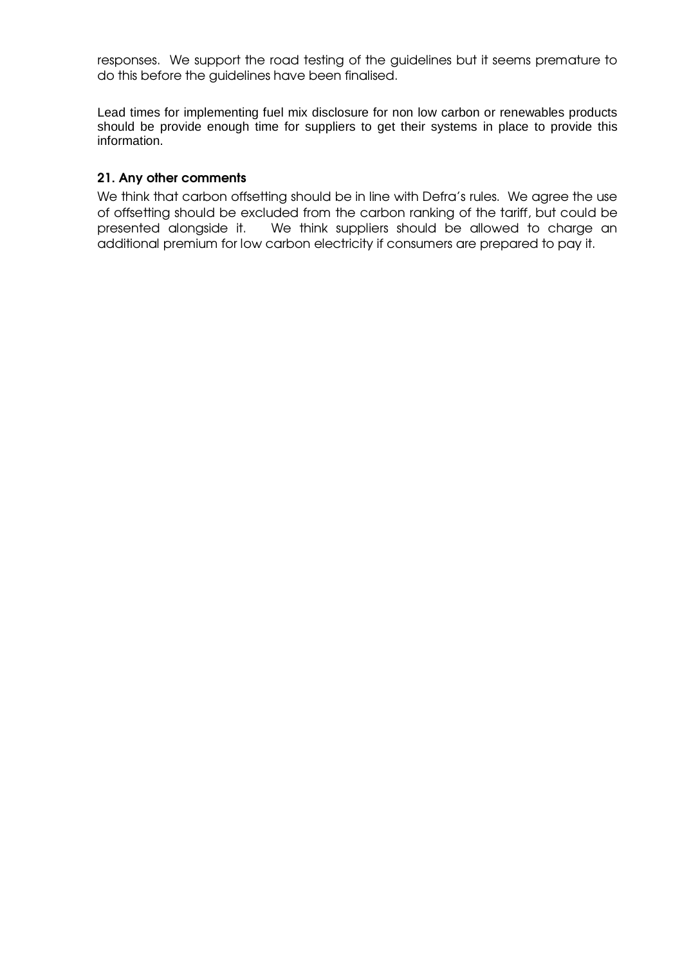responses. We support the road testing of the guidelines but it seems premature to do this before the guidelines have been finalised.

Lead times for implementing fuel mix disclosure for non low carbon or renewables products should be provide enough time for suppliers to get their systems in place to provide this information.

#### 21. Any other comments

We think that carbon offsetting should be in line with Defra's rules. We agree the use of offsetting should be excluded from the carbon ranking of the tariff, but could be presented alongside it. We think suppliers should be allowed to charge an additional premium for low carbon electricity if consumers are prepared to pay it.